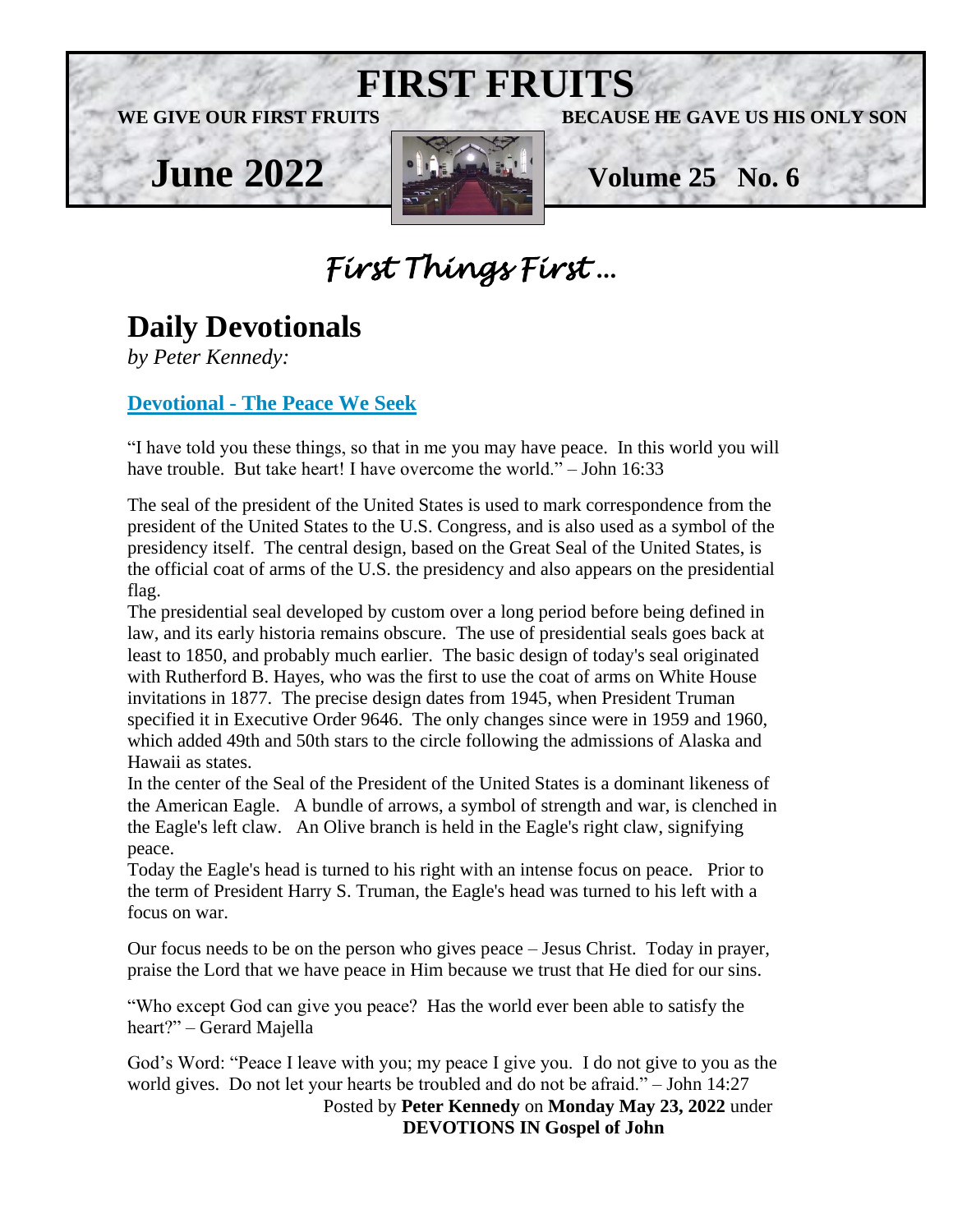

# *First Things First* …

# **Daily Devotionals**

*by Peter Kennedy:*

## **Devotional - [The Peace We Seek](https://nam12.safelinks.protection.outlook.com/?url=https%3A%2F%2Fwww.devotional.com%2FBlog%2FDevotionals%2F&data=05%7C01%7C%7Cd5b00866c9014a137c6c08da3d3fc9a0%7C84df9e7fe9f640afb435aaaaaaaaaaaa%7C1%7C0%7C637889641416667747%7CUnknown%7CTWFpbGZsb3d8eyJWIjoiMC4wLjAwMDAiLCJQIjoiV2luMzIiLCJBTiI6Ik1haWwiLCJXVCI6Mn0%3D%7C3000%7C%7C%7C&sdata=AtskwXu3HxUAKw3c5JZPBatW8Q7P%2BPh1y9SBwoYXotE%3D&reserved=0)**

"I have told you these things, so that in me you may have peace. In this world you will have trouble. But take heart! I have overcome the world." – John 16:33

The seal of the president of the United States is used to mark correspondence from the president of the United States to the U.S. Congress, and is also used as a symbol of the presidency itself. The central design, based on the Great Seal of the United States, is the official coat of arms of the U.S. the presidency and also appears on the presidential flag.

The presidential seal developed by custom over a long period before being defined in law, and its early historia remains obscure. The use of presidential seals goes back at least to 1850, and probably much earlier. The basic design of today's seal originated with Rutherford B. Hayes, who was the first to use the coat of arms on White House invitations in 1877. The precise design dates from 1945, when President Truman specified it in Executive Order 9646. The only changes since were in 1959 and 1960, which added 49th and 50th stars to the circle following the admissions of Alaska and Hawaii as states.

In the center of the Seal of the President of the United States is a dominant likeness of the American Eagle. A bundle of arrows, a symbol of strength and war, is clenched in the Eagle's left claw. An Olive branch is held in the Eagle's right claw, signifying peace.

Today the Eagle's head is turned to his right with an intense focus on peace. Prior to the term of President Harry S. Truman, the Eagle's head was turned to his left with a focus on war.

Our focus needs to be on the person who gives peace – Jesus Christ. Today in prayer, praise the Lord that we have peace in Him because we trust that He died for our sins.

"Who except God can give you peace? Has the world ever been able to satisfy the heart?" – Gerard Majella

God's Word: "Peace I leave with you; my peace I give you. I do not give to you as the world gives. Do not let your hearts be troubled and do not be afraid." – John 14:27

 Posted by **Peter Kennedy** on **Monday May 23, 2022** under  **DEVOTIONS IN Gospel of John**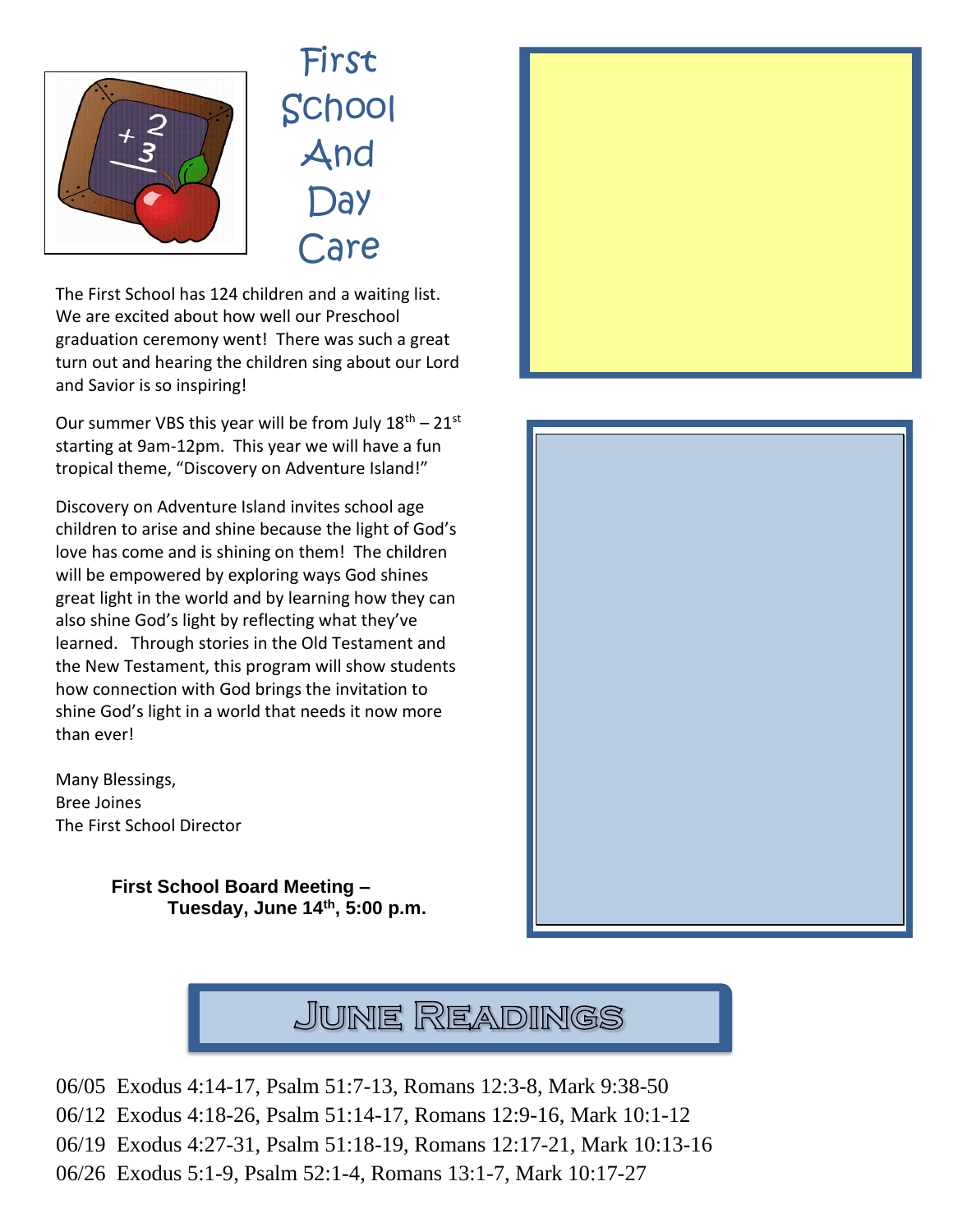

First School And **Day** Care

The First School has 124 children and a waiting list. We are excited about how well our Preschool graduation ceremony went! There was such a great turn out and hearing the children sing about our Lord and Savior is so inspiring!

Our summer VBS this year will be from July  $18^{th} - 21^{st}$ starting at 9am-12pm. This year we will have a fun tropical theme, "Discovery on Adventure Island!"

Discovery on Adventure Island invites school age children to arise and shine because the light of God's love has come and is shining on them! The children will be empowered by exploring ways God shines great light in the world and by learning how they can also shine God's light by reflecting what they've learned. Through stories in the Old Testament and the New Testament, this program will show students how connection with God brings the invitation to shine God's light in a world that needs it now more than ever!

Many Blessings, Bree Joines The First School Director

> **First School Board Meeting – Tuesday, June 14th, 5:00 p.m.**







- 06/05 Exodus 4:14-17, Psalm 51:7-13, Romans 12:3-8, Mark 9:38-50
- 06/12 Exodus 4:18-26, Psalm 51:14-17, Romans 12:9-16, Mark 10:1-12
- 06/19 Exodus 4:27-31, Psalm 51:18-19, Romans 12:17-21, Mark 10:13-16
- 06/26 Exodus 5:1-9, Psalm 52:1-4, Romans 13:1-7, Mark 10:17-27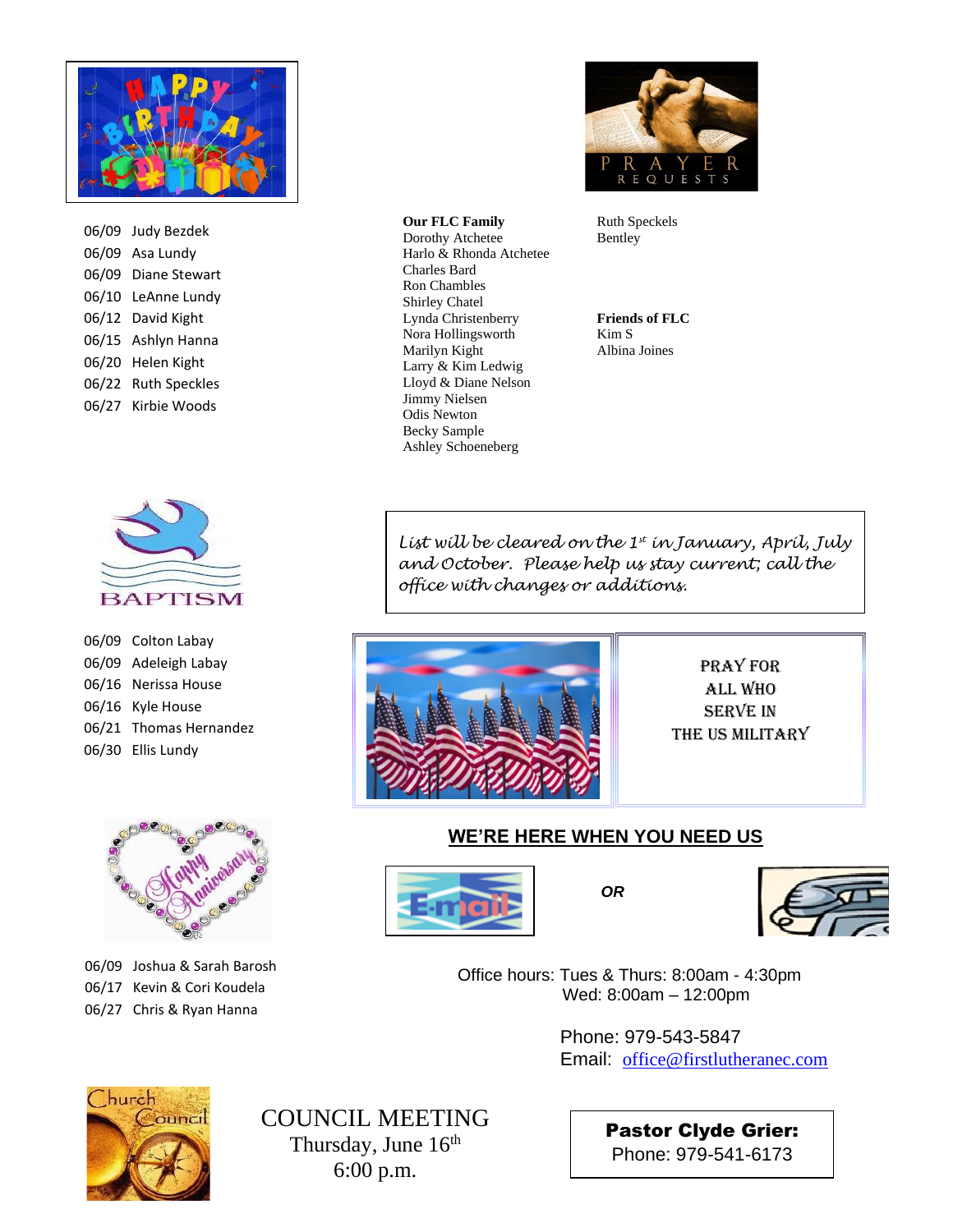

06/09 Judy Bezdek 06/09 Asa Lundy 06/09 Diane Stewart 06/10 LeAnne Lundy 06/12 David Kight 06/15 Ashlyn Hanna 06/20 Helen Kight 06/22 Ruth Speckles 06/27 Kirbie Woods



06/09 Colton Labay 06/09 Adeleigh Labay 06/16 Nerissa House 06/16 Kyle House 06/21 Thomas Hernandez 06/30 Ellis Lundy



06/09 Joshua & Sarah Barosh 06/17 Kevin & Cori Koudela 06/27 Chris & Ryan Hanna



Ruth Speckels Bentley

**Friends of FLC** Kim S Albina Joines

*List will be cleared on the 1st in January, April, July and October. Please help us stay current; call the office with changes or additions.*



Charles Bard

Ron Chambles Shirley Chatel Lynda Christenberry Nora Hollingsworth Marilyn Kight Larry & Kim Ledwig Lloyd & Diane Nelson Jimmy Nielsen Odis Newton Becky Sample Ashley Schoeneberg

**Our FLC Family** Dorothy Atchetee Harlo & Rhonda Atchetee

> Pray for All WHo **SERVE IN** the US Military

### **WE'RE HERE WHEN YOU NEED US**





 Office hours: Tues & Thurs: 8:00am - 4:30pm Wed: 8:00am – 12:00pm

> Phone: 979-543-5847 Email: [office@firstlutheranec.com](mailto:office@firstlutheranec.com)



COUNCIL MEETING Thursday, June 16<sup>th</sup> 6:00 p.m.

Pastor Clyde Grier: Phone: 979-541-6173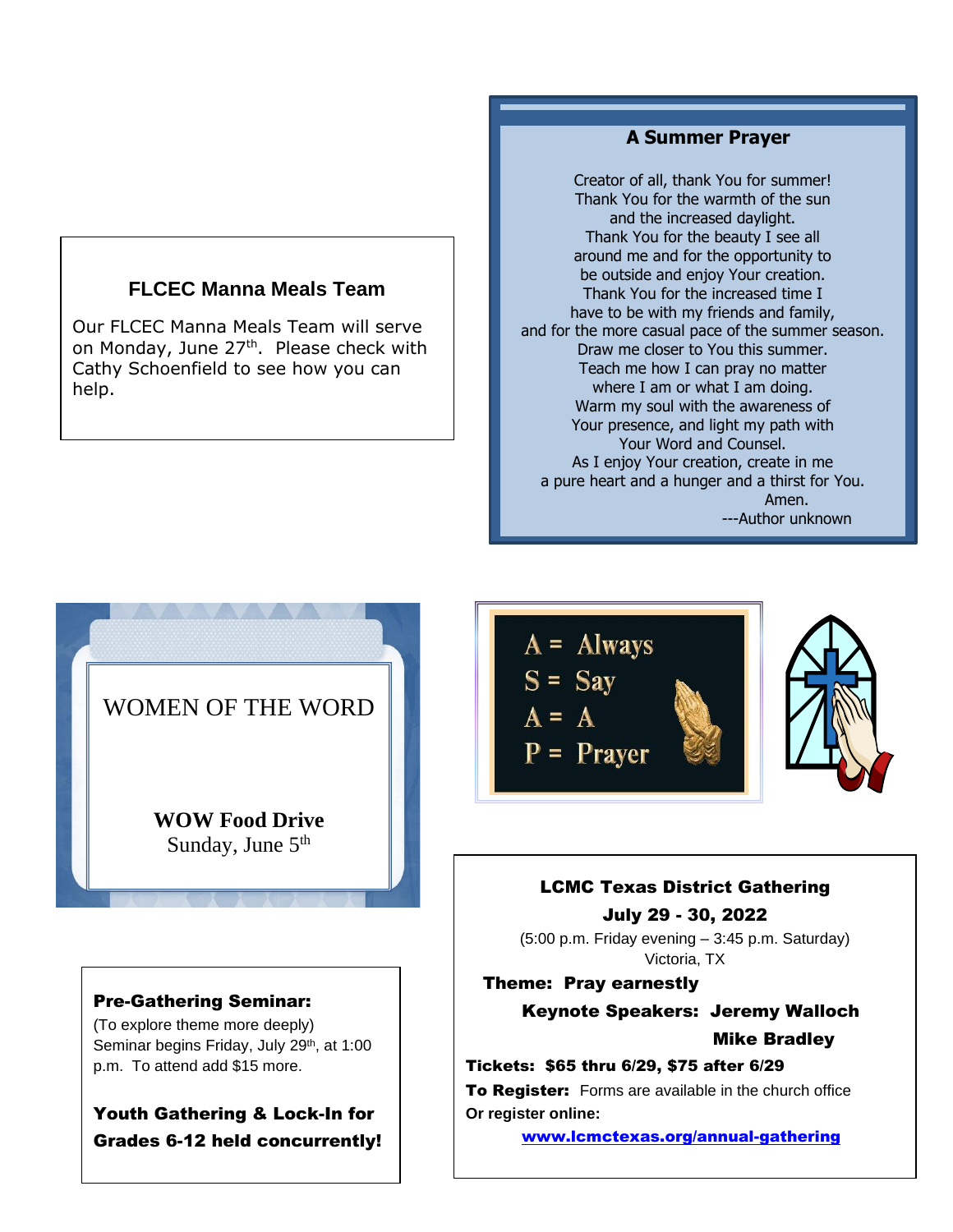## **FLCEC Manna Meals Team**

Our FLCEC Manna Meals Team will serve on Monday, June 27<sup>th</sup>. Please check with Cathy Schoenfield to see how you can help.

### **A Summer Prayer**

 Thank You for the increased time I and for the more casual pace of the summer season. Creator of all, thank You for summer! Thank You for the warmth of the sun and the increased daylight. Thank You for the beauty I see all around me and for the opportunity to be outside and enjoy Your creation. have to be with my friends and family, Draw me closer to You this summer. Teach me how I can pray no matter where I am or what I am doing. Warm my soul with the awareness of Your presence, and light my path with Your Word and Counsel. As I enjoy Your creation, create in me a pure heart and a hunger and a thirst for You. Amen. ---Author unknown



## Pre-Gathering Seminar:

(To explore theme more deeply) Seminar begins Friday, July 29<sup>th</sup>, at 1:00 p.m. To attend add \$15 more.

Youth Gathering & Lock-In for Grades 6-12 held concurrently!



## LCMC Texas District Gathering July 29 - 30, 2022

(5:00 p.m. Friday evening – 3:45 p.m. Saturday) Victoria, TX

Theme: Pray earnestly

Keynote Speakers: Jeremy Walloch Mike Bradley

#### Tickets: \$65 thru 6/29, \$75 after 6/29

To Register: Forms are available in the church office **Or register online:**

[www.lcmctexas.org/annual-gathering](http://www.lcmctexas.org/annual-gathering)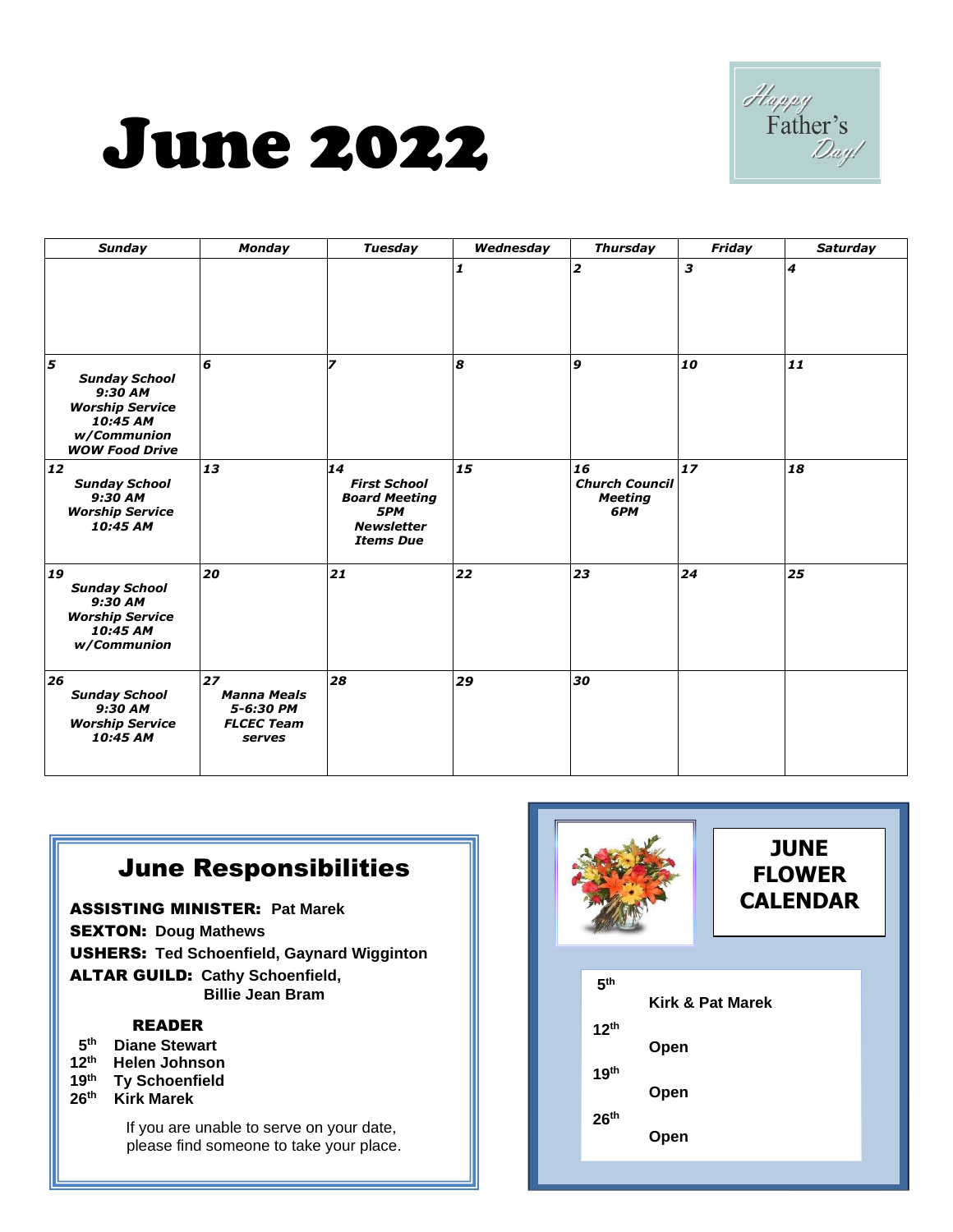



| <b>Sunday</b>                                                                                                      | <b>Monday</b>                                                        | <b>Tuesday</b>                                                                                    | Wednesday | <b>Thursday</b>                                      | Friday                    | <b>Saturday</b>             |
|--------------------------------------------------------------------------------------------------------------------|----------------------------------------------------------------------|---------------------------------------------------------------------------------------------------|-----------|------------------------------------------------------|---------------------------|-----------------------------|
|                                                                                                                    |                                                                      |                                                                                                   | 1         | $\overline{\mathbf{z}}$                              | $\boldsymbol{\mathsf{3}}$ | $\overline{\boldsymbol{4}}$ |
| 5<br><b>Sunday School</b><br>9:30 AM<br><b>Worship Service</b><br>10:45 AM<br>w/Communion<br><b>WOW Food Drive</b> | 6                                                                    | 7                                                                                                 | 8         | 9                                                    | 10                        | 11                          |
| 12<br><b>Sunday School</b><br>9:30 AM<br><b>Worship Service</b><br>10:45 AM                                        | 13                                                                   | 14<br><b>First School</b><br><b>Board Meeting</b><br>5PM<br><b>Newsletter</b><br><b>Items Due</b> | 15        | 16<br><b>Church Council</b><br><b>Meeting</b><br>6PM | 17                        | 18                          |
| 19<br><b>Sunday School</b><br>9:30 AM<br><b>Worship Service</b><br>10:45 AM<br>w/Communion                         | 20                                                                   | 21                                                                                                | 22        | 23                                                   | 24                        | 25                          |
| 26<br><b>Sunday School</b><br>9:30 AM<br><b>Worship Service</b><br>10:45 AM                                        | 27<br><b>Manna Meals</b><br>5-6:30 PM<br><b>FLCEC Team</b><br>serves | 28                                                                                                | 29        | 30                                                   |                           |                             |

# June Responsibilities

ASSISTING MINISTER: **Pat Marek**  SEXTON: **Doug Mathews**  USHERS: **Ted Schoenfield, Gaynard Wigginton**  ALTAR GUILD: **Cathy Schoenfield, Billie Jean Bram** 

### READER

- **5 th Diane Stewart**
- **12 th Helen Johnson**
- **19th Ty Schoenfield**
- **26 th Kirk Marek**

If you are unable to serve on your date, please find someone to take your place.

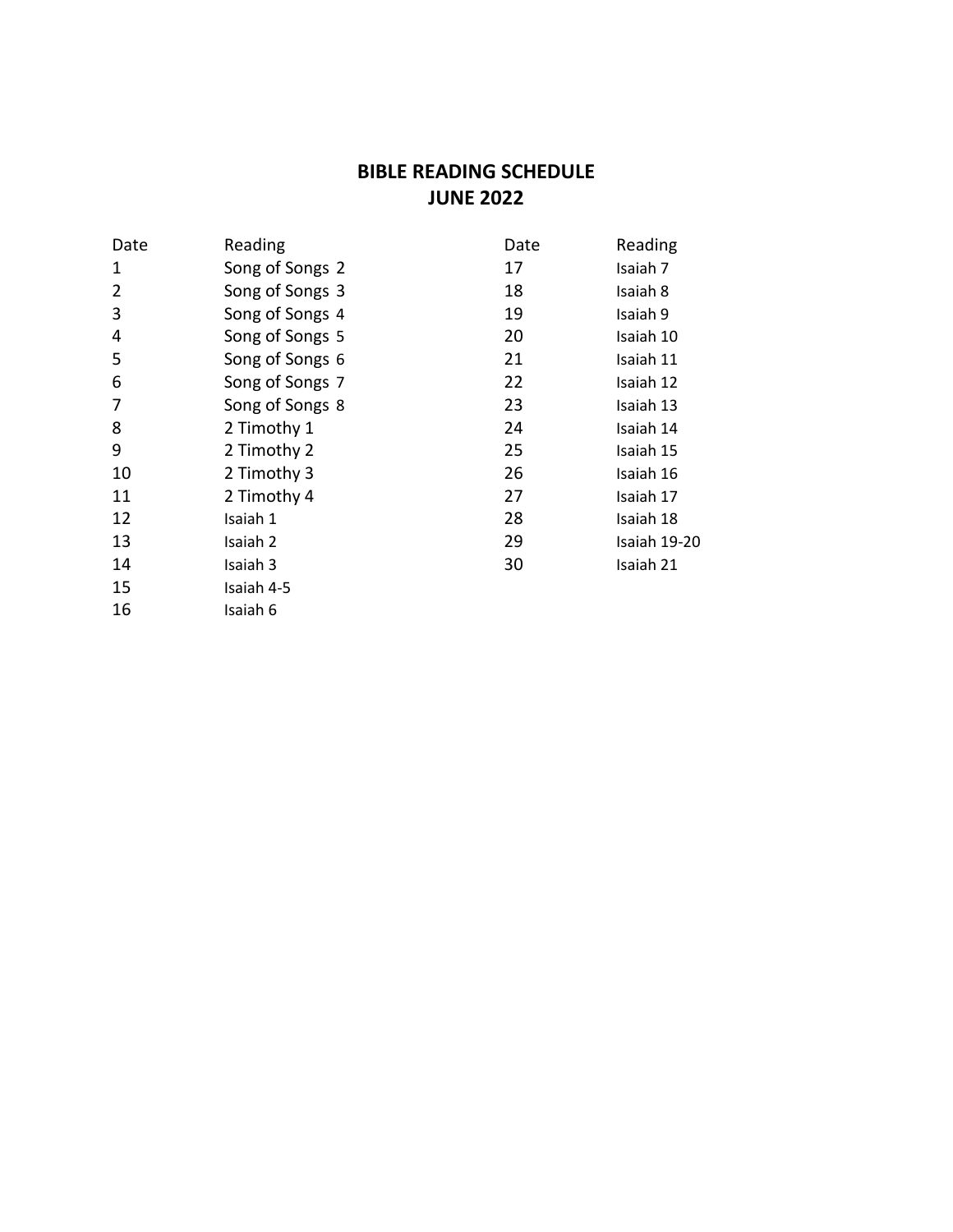# **BIBLE READING SCHEDULE JUNE 2022**

| Reading         | Date | Reading      |
|-----------------|------|--------------|
| Song of Songs 2 | 17   | Isaiah 7     |
| Song of Songs 3 | 18   | Isaiah 8     |
| Song of Songs 4 | 19   | Isaiah 9     |
| Song of Songs 5 | 20   | Isaiah 10    |
| Song of Songs 6 | 21   | Isaiah 11    |
| Song of Songs 7 | 22   | Isaiah 12    |
| Song of Songs 8 | 23   | Isaiah 13    |
| 2 Timothy 1     | 24   | Isaiah 14    |
| 2 Timothy 2     | 25   | Isaiah 15    |
| 2 Timothy 3     | 26   | Isaiah 16    |
| 2 Timothy 4     | 27   | Isaiah 17    |
| Isaiah 1        | 28   | Isaiah 18    |
| Isaiah 2        | 29   | Isaiah 19-20 |
| Isaiah 3        | 30   | Isaiah 21    |
| Isaiah 4-5      |      |              |
| Isaiah 6        |      |              |
|                 |      |              |